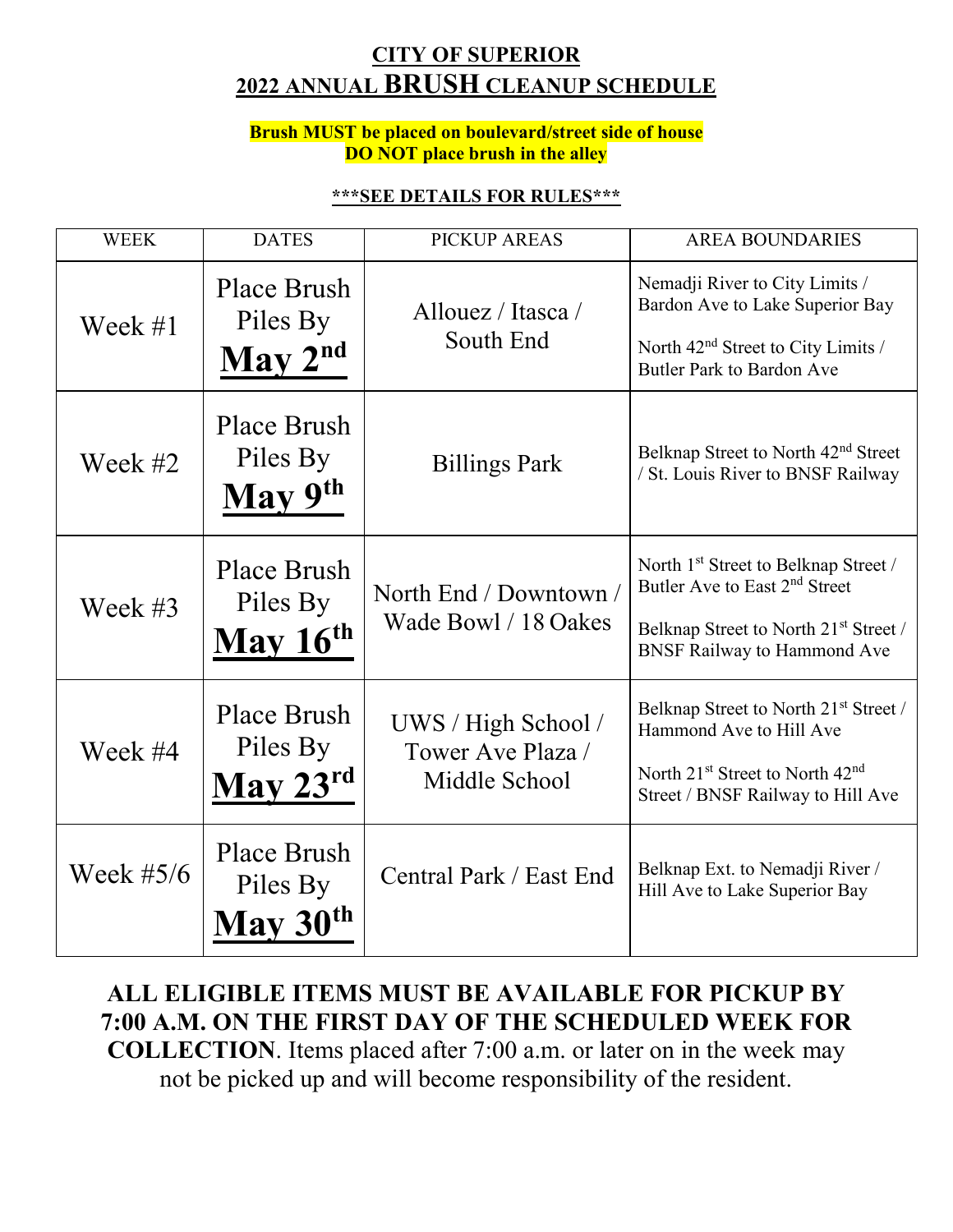### **CITY OF SUPERIOR 2022 ANNUAL BRUSH CLEANUP SCHEDULE**

### **Brush MUST be placed on boulevard/street side of house DO NOT place brush in the alley**

### **\*\*\*SEE DETAILS FOR RULES\*\*\***

| <b>WEEK</b> | <b>DATES</b>                                                   | PICKUP AREAS                                              | <b>AREA BOUNDARIES</b>                                                                                                                                                                   |
|-------------|----------------------------------------------------------------|-----------------------------------------------------------|------------------------------------------------------------------------------------------------------------------------------------------------------------------------------------------|
| Week $#1$   | Place Brush<br>Piles By<br>$\mathbf{M}$ ay $2^{\text{nd}}$     | Allouez / Itasca /<br>South End                           | Nemadji River to City Limits /<br>Bardon Ave to Lake Superior Bay<br>North 42 <sup>nd</sup> Street to City Limits /<br><b>Butler Park to Bardon Ave</b>                                  |
| Week $#2$   | Place Brush<br>Piles By<br>May 9th                             | <b>Billings Park</b>                                      | Belknap Street to North 42 <sup>nd</sup> Street<br>/ St. Louis River to BNSF Railway                                                                                                     |
| Week $#3$   | Place Brush<br>Piles By<br>May $16th$                          | North End / Downtown /<br>Wade Bowl / 18 Oakes            | North 1 <sup>st</sup> Street to Belknap Street /<br>Butler Ave to East 2 <sup>nd</sup> Street<br>Belknap Street to North 21 <sup>st</sup> Street /<br><b>BNSF Railway to Hammond Ave</b> |
| Week #4     | Place Brush<br>Piles By<br>May 23 <sup>rd</sup>                | UWS / High School /<br>Tower Ave Plaza /<br>Middle School | Belknap Street to North 21 <sup>st</sup> Street /<br>Hammond Ave to Hill Ave<br>North 21 <sup>st</sup> Street to North 42 <sup>nd</sup><br>Street / BNSF Railway to Hill Ave             |
| Week $#5/6$ | <b>Place Brush</b><br>Piles By<br>$\text{May } 30^{\text{th}}$ | Central Park / East End                                   | Belknap Ext. to Nemadji River /<br>Hill Ave to Lake Superior Bay                                                                                                                         |

## **ALL ELIGIBLE ITEMS MUST BE AVAILABLE FOR PICKUP BY 7:00 A.M. ON THE FIRST DAY OF THE SCHEDULED WEEK FOR COLLECTION**. Items placed after 7:00 a.m. or later on in the week may

not be picked up and will become responsibility of the resident.